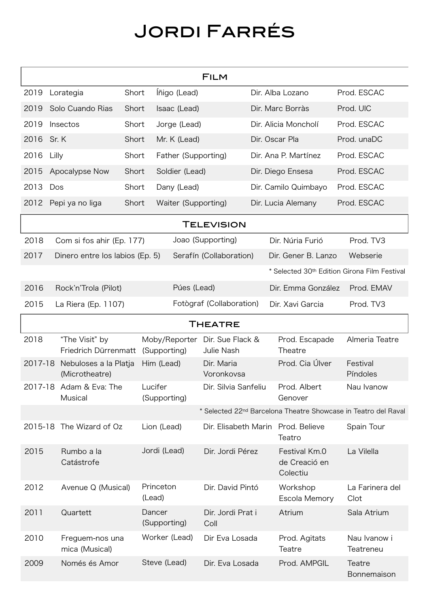## Jordi Farrés

| <b>FILM</b>    |                                                                            |       |                               |                                |  |                                              |                                              |  |  |
|----------------|----------------------------------------------------------------------------|-------|-------------------------------|--------------------------------|--|----------------------------------------------|----------------------------------------------|--|--|
| 2019           | Lorategia                                                                  | Short | Íñigo (Lead)                  |                                |  | Dir. Alba Lozano                             | Prod. ESCAC                                  |  |  |
| 2019           | Solo Cuando Rias                                                           | Short | Isaac (Lead)                  |                                |  | Dir. Marc Borràs                             | Prod. UIC                                    |  |  |
| 2019           | Insectos                                                                   | Short | Jorge (Lead)                  |                                |  | Dir. Alicia Moncholí                         | Prod. ESCAC                                  |  |  |
| 2016           | Sr. K                                                                      | Short | Mr. K (Lead)                  |                                |  | Dir. Oscar Pla                               | Prod. unaDC                                  |  |  |
| 2016           | Lilly                                                                      | Short | Father (Supporting)           |                                |  | Dir. Ana P. Martínez                         | Prod. ESCAC                                  |  |  |
| 2015           | Apocalypse Now                                                             | Short | Soldier (Lead)                |                                |  | Dir. Diego Ensesa                            | Prod. ESCAC                                  |  |  |
| 2013           | Dos                                                                        | Short | Dany (Lead)                   |                                |  | Dir. Camilo Quimbayo                         | Prod. ESCAC                                  |  |  |
| 2012           | Pepi ya no liga                                                            | Short | Waiter (Supporting)           |                                |  | Dir. Lucia Alemany                           | Prod. ESCAC                                  |  |  |
| TELEVISION     |                                                                            |       |                               |                                |  |                                              |                                              |  |  |
| 2018           | Com si fos ahir (Ep. 177)                                                  |       |                               | Joao (Supporting)              |  | Dir. Núria Furió                             | Prod. TV3                                    |  |  |
| 2017           | Dinero entre los labios (Ep. 5)                                            |       |                               | Serafín (Collaboration)        |  | Dir. Gener B. Lanzo                          | Webserie                                     |  |  |
|                |                                                                            |       |                               |                                |  |                                              | * Selected 30th Edition Girona Film Festival |  |  |
| 2016           | Rock'n'Trola (Pilot)                                                       |       | Púes (Lead)                   |                                |  | Dir. Emma González                           | Prod. EMAV                                   |  |  |
| 2015           | La Riera (Ep. 1107)                                                        |       |                               | Fotògraf (Collaboration)       |  | Dir. Xavi Garcia                             | Prod. TV3                                    |  |  |
| <b>THEATRE</b> |                                                                            |       |                               |                                |  |                                              |                                              |  |  |
| 2018           | "The Visit" by<br>Friedrich Dürrenmatt                                     |       | Moby/Reporter<br>(Supporting) | Dir. Sue Flack &<br>Julie Nash |  | Prod. Escapade<br>Theatre                    | Almeria Teatre                               |  |  |
| 2017-18        | Nebuloses a la Platja<br>(Microtheatre)                                    |       | Him (Lead)                    | Dir. Maria<br>Voronkovsa       |  | Prod. Cia Úlver                              | Festival<br>Píndoles                         |  |  |
|                | 2017-18 Adam & Eva: The<br>Musical                                         |       | Lucifer<br>(Supporting)       | Dir. Silvia Sanfeliu           |  | Prod. Albert<br>Genover                      | Nau Ivanow                                   |  |  |
|                | * Selected 22 <sup>nd</sup> Barcelona Theatre Showcase in Teatro del Raval |       |                               |                                |  |                                              |                                              |  |  |
| 2015-18        | The Wizard of Oz                                                           |       | Lion (Lead)                   |                                |  | Dir. Elisabeth Marin Prod. Believe<br>Teatro | Spain Tour                                   |  |  |
| 2015           | Rumbo a la<br>Catástrofe                                                   |       | Jordi (Lead)                  | Dir. Jordi Pérez               |  | Festival Km.0<br>de Creació en<br>Colectiu   | La Vilella                                   |  |  |
| 2012           | Avenue Q (Musical)                                                         |       | Princeton<br>(Lead)           | Dir. David Pintó               |  | Workshop<br>Escola Memory                    | La Farinera del<br>Clot                      |  |  |
| 2011           | Quartett                                                                   |       | Dancer<br>(Supporting)        | Dir. Jordi Prat i<br>Coll      |  | Atrium                                       | Sala Atrium                                  |  |  |
| 2010           | Freguem-nos una<br>mica (Musical)                                          |       | Worker (Lead)                 | Dir Eva Losada                 |  | Prod. Agitats<br>Teatre                      | Nau Ivanow i<br>Teatreneu                    |  |  |
| 2009           | Només és Amor                                                              |       | Steve (Lead)                  | Dir. Eva Losada                |  | Prod. AMPGIL                                 | Teatre<br>Bonnemaison                        |  |  |